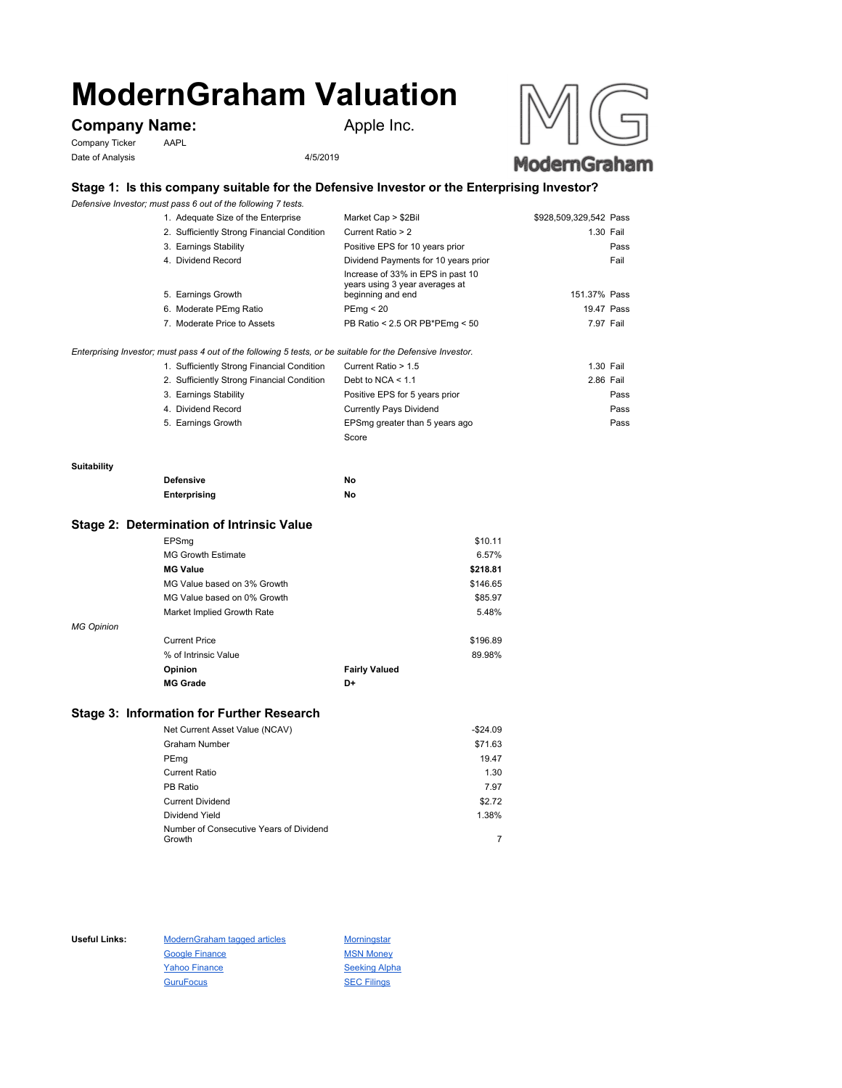# **ModernGraham Valuation**

# **Company Name:** Apple Inc.

Company Ticker AAPL Date of Analysis 4/5/2019



# **Stage 1: Is this company suitable for the Defensive Investor or the Enterprising Investor?**

*Defensive Investor; must pass 6 out of the following 7 tests.*

| 1. Adequate Size of the Enterprise         | Market Cap > \$2Bil                                                                      | \$928,509,329,542 Pass |
|--------------------------------------------|------------------------------------------------------------------------------------------|------------------------|
| 2. Sufficiently Strong Financial Condition | Current Ratio > 2                                                                        | 1.30 Fail              |
| 3. Earnings Stability                      | Positive EPS for 10 years prior                                                          | Pass                   |
| 4. Dividend Record                         | Dividend Payments for 10 years prior                                                     | Fail                   |
| 5. Earnings Growth                         | Increase of 33% in EPS in past 10<br>years using 3 year averages at<br>beginning and end | 151.37% Pass           |
| 6. Moderate PEmg Ratio                     | PEmq < 20                                                                                | 19.47 Pass             |
| 7. Moderate Price to Assets                | PB Ratio < 2.5 OR PB*PEmg < 50                                                           | 7.97 Fail              |

*Enterprising Investor; must pass 4 out of the following 5 tests, or be suitable for the Defensive Investor.*

| 1. Sufficiently Strong Financial Condition | Current Ratio > 1.5            | 1.30 Fail |  |
|--------------------------------------------|--------------------------------|-----------|--|
| 2. Sufficiently Strong Financial Condition | Debt to NCA $<$ 1.1            | 2.86 Fail |  |
| 3. Earnings Stability                      | Positive EPS for 5 years prior | Pass      |  |
| 4. Dividend Record                         | <b>Currently Pays Dividend</b> | Pass      |  |
| 5. Earnings Growth                         | EPSmg greater than 5 years ago | Pass      |  |
|                                            | Score                          |           |  |

#### **Suitability**

| <b>Defensive</b> | Νo |
|------------------|----|
| Enterprising     | Νo |

#### **Stage 2: Determination of Intrinsic Value**

|                   | EPSmg                       |                      | \$10.11  |
|-------------------|-----------------------------|----------------------|----------|
|                   | <b>MG Growth Estimate</b>   |                      | 6.57%    |
|                   | <b>MG Value</b>             |                      | \$218.81 |
|                   | MG Value based on 3% Growth |                      | \$146.65 |
|                   | MG Value based on 0% Growth |                      | \$85.97  |
|                   | Market Implied Growth Rate  |                      | 5.48%    |
| <b>MG Opinion</b> |                             |                      |          |
|                   | <b>Current Price</b>        |                      | \$196.89 |
|                   | % of Intrinsic Value        |                      | 89.98%   |
|                   | Opinion                     | <b>Fairly Valued</b> |          |
|                   | <b>MG Grade</b>             | D+                   |          |
|                   |                             |                      |          |

### **Stage 3: Information for Further Research**

| Net Current Asset Value (NCAV)          | $-$24.09$ |
|-----------------------------------------|-----------|
| Graham Number                           | \$71.63   |
| PEmg                                    | 19.47     |
| Current Ratio                           | 1.30      |
| PB Ratio                                | 7.97      |
| <b>Current Dividend</b>                 | \$2.72    |
| Dividend Yield                          | 1.38%     |
| Number of Consecutive Years of Dividend |           |
| Growth                                  |           |

Useful Links: ModernGraham tagged articles Morningstar Google Finance MSN Money Yahoo Finance Seeking Alpha GuruFocus SEC Filings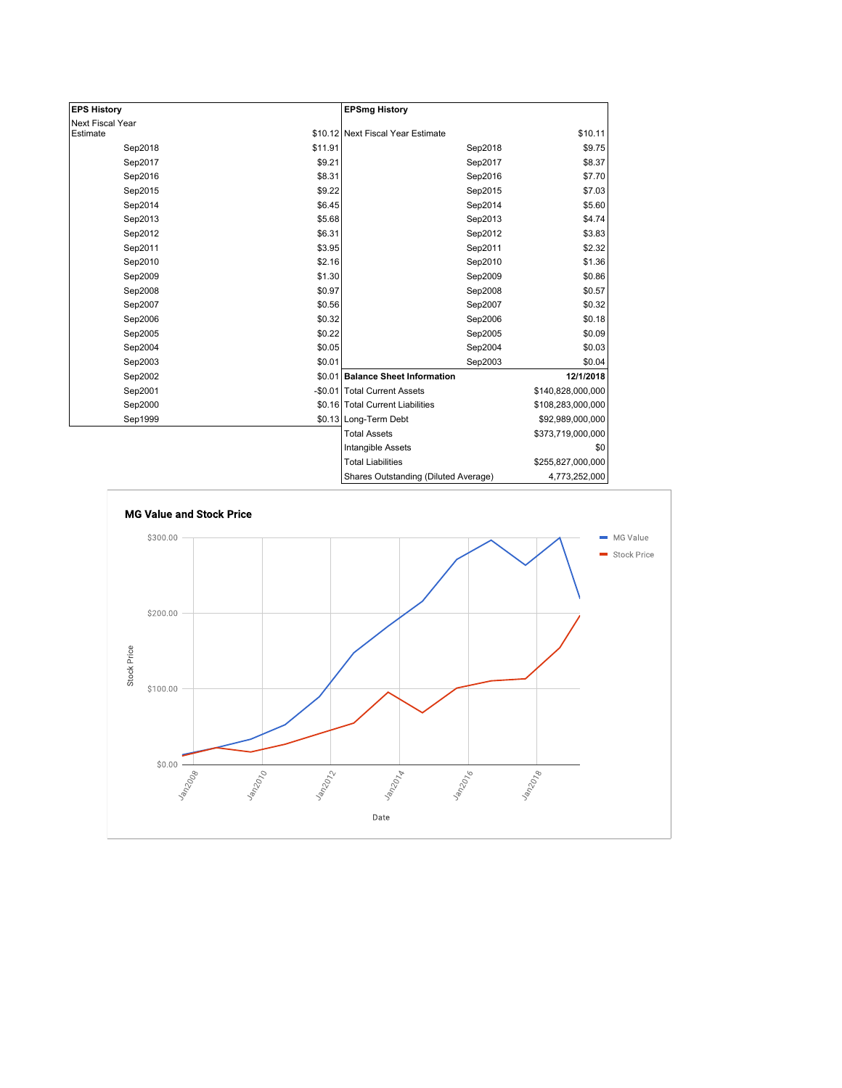| <b>EPS History</b> |         | <b>EPSmg History</b>                 |                   |
|--------------------|---------|--------------------------------------|-------------------|
| Next Fiscal Year   |         |                                      |                   |
| Estimate           |         | \$10.12 Next Fiscal Year Estimate    | \$10.11           |
| Sep2018            | \$11.91 | Sep2018                              | \$9.75            |
| Sep2017            | \$9.21  | Sep2017                              | \$8.37            |
| Sep2016            | \$8.31  | Sep2016                              | \$7.70            |
| Sep2015            | \$9.22  | Sep2015                              | \$7.03            |
| Sep2014            | \$6.45  | Sep2014                              | \$5.60            |
| Sep2013            | \$5.68  | Sep2013                              | \$4.74            |
| Sep2012            | \$6.31  | Sep2012                              | \$3.83            |
| Sep2011            | \$3.95  | Sep2011                              | \$2.32            |
| Sep2010            | \$2.16  | Sep2010                              | \$1.36            |
| Sep2009            | \$1.30  | Sep2009                              | \$0.86            |
| Sep2008            | \$0.97  | Sep2008                              | \$0.57            |
| Sep2007            | \$0.56  | Sep2007                              | \$0.32            |
| Sep2006            | \$0.32  | Sep2006                              | \$0.18            |
| Sep2005            | \$0.22  | Sep2005                              | \$0.09            |
| Sep2004            | \$0.05  | Sep2004                              | \$0.03            |
| Sep2003            | \$0.01  | Sep2003                              | \$0.04            |
| Sep2002            |         | \$0.01 Balance Sheet Information     | 12/1/2018         |
| Sep2001            |         | -\$0.01 Total Current Assets         | \$140,828,000,000 |
| Sep2000            |         | \$0.16 Total Current Liabilities     | \$108,283,000,000 |
| Sep1999            |         | \$0.13 Long-Term Debt                | \$92,989,000,000  |
|                    |         | <b>Total Assets</b>                  | \$373,719,000,000 |
|                    |         | Intangible Assets                    | \$0               |
|                    |         | <b>Total Liabilities</b>             | \$255,827,000,000 |
|                    |         | Charge Qutetanding (Diluted Average) | 1.772.25.000      |